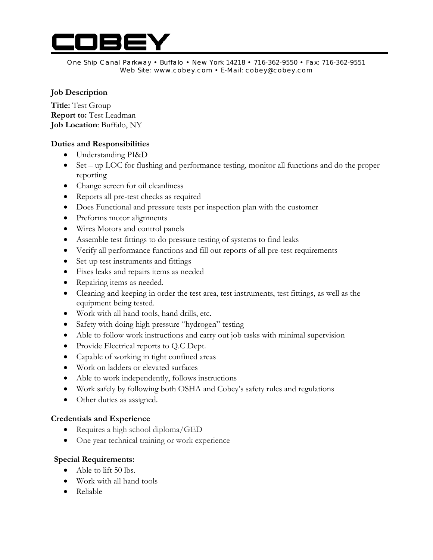

One Ship Canal Parkway • Buffalo • New York 14218 • 716-362-9550 • Fax: 716-362-9551 Web Site: www.cobey.com • E-Mail: cobey@cobey.com

## **Job Description**

**Title:** Test Group **Report to:** Test Leadman **Job Location**: Buffalo, NY

# **Duties and Responsibilities**

- Understanding PI&D
- Set up LOC for flushing and performance testing, monitor all functions and do the proper reporting
- Change screen for oil cleanliness
- Reports all pre-test checks as required
- Does Functional and pressure tests per inspection plan with the customer
- Preforms motor alignments
- Wires Motors and control panels
- Assemble test fittings to do pressure testing of systems to find leaks
- Verify all performance functions and fill out reports of all pre-test requirements
- Set-up test instruments and fittings
- Fixes leaks and repairs items as needed
- Repairing items as needed.
- Cleaning and keeping in order the test area, test instruments, test fittings, as well as the equipment being tested.
- Work with all hand tools, hand drills, etc.
- Safety with doing high pressure "hydrogen" testing
- Able to follow work instructions and carry out job tasks with minimal supervision
- Provide Electrical reports to Q.C Dept.
- Capable of working in tight confined areas
- Work on ladders or elevated surfaces
- Able to work independently, follows instructions
- Work safely by following both OSHA and Cobey's safety rules and regulations
- Other duties as assigned.

### **Credentials and Experience**

- Requires a high school diploma/GED
- One year technical training or work experience

### **Special Requirements:**

- Able to lift 50 lbs.
- Work with all hand tools
- Reliable